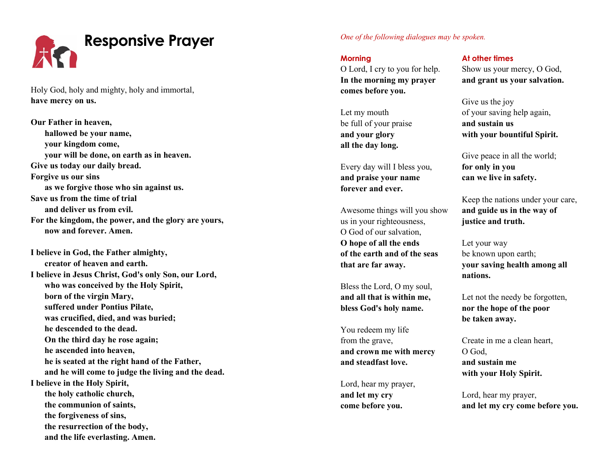

Holy God, holy and mighty, holy and immortal, **have mercy on us.**

**Our Father in heaven, hallowed be your name, your kingdom come, your will be done, on earth as in heaven. Give us today our daily bread. Forgive us our sins as we forgive those who sin against us. Save us from the time of trial and deliver us from evil. For the kingdom, the power, and the glory are yours, now and forever. Amen.**

**I believe in God, the Father almighty, creator of heaven and earth. I believe in Jesus Christ, God's only Son, our Lord, who was conceived by the Holy Spirit, born of the virgin Mary, suffered under Pontius Pilate, was crucified, died, and was buried; he descended to the dead. On the third day he rose again; he ascended into heaven, he is seated at the right hand of the Father, and he will come to judge the living and the dead. I believe in the Holy Spirit, the holy catholic church, the communion of saints, the forgiveness of sins, the resurrection of the body, and the life everlasting. Amen.**

*One of the following dialogues may be spoken.*

**Morning** O Lord, I cry to you for help. **In the morning my prayer comes before you.**

Let my mouth be full of your praise **and your glory all the day long.**

Every day will I bless you, **and praise your name forever and ever.**

Awesome things will you show us in your righteousness, O God of our salvation, **O hope of all the ends of the earth and of the seas that are far away.**

Bless the Lord, O my soul, **and all that is within me, bless God's holy name.**

You redeem my life from the grave, **and crown me with mercy and steadfast love.**

Lord, hear my prayer, **and let my cry come before you.**

**At other times** Show us your mercy, O God, **and grant us your salvation.**

Give us the joy of your saving help again, **and sustain us with your bountiful Spirit.**

Give peace in all the world; **for only in you can we live in safety.**

Keep the nations under your care, **and guide us in the way of justice and truth.**

Let your way be known upon earth; **your saving health among all nations.**

Let not the needy be forgotten, **nor the hope of the poor be taken away.**

Create in me a clean heart, O God, **and sustain me with your Holy Spirit.**

Lord, hear my prayer, **and let my cry come before you.**